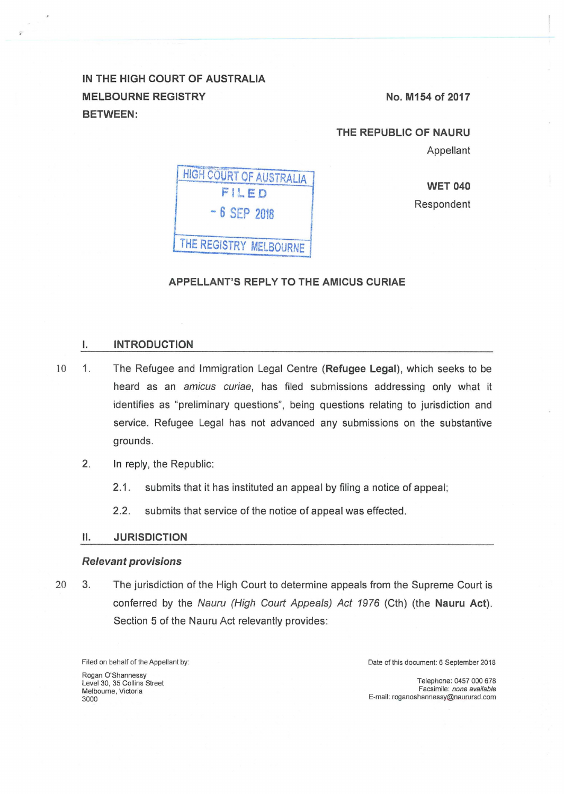IN THE HIGH COURT OF AUSTRALIA MELBOURNE REGISTRY BETWEEN:

No. M154 of 2017

THE REPUBLIC OF NAURU Appellant

HIGH COURT OF AUSTRALIA FILED - 6 SEP 2018 THE REGISTRY MELBOURNE

**WET 040** Respondent

#### APPELLANT'S REPLY TO THE AMICUS CURIAE

#### I. INTRODUCTION

- 10 1. The Refugee and Immigration Legal Centre (Refugee Legal), which seeks to be heard as an amicus curiae, has filed submissions addressing only what it identifies as "preliminary questions", being questions relating to jurisdiction and service. Refugee Legal has not advanced any submissions on the substantive grounds.
	- 2. In reply, the Republic:
		- 2.1. submits that it has instituted an appeal by filing a notice of appeal;
		- 2.2. submits that service of the notice of appeal was effected.

### 11. JURISDICTION

#### Relevant provisions

20 3. The jurisdiction of the High Court to determine appeals from the Supreme Court is conferred by the Nauru (High Court Appeals) Act 1976 (Cth) (the Nauru Act). Section 5 of the Nauru Act relevantly provides:

Filed on behalf of the Appellant by: Rogan O'Shannessy

Level 30, 35 Collins Street Melbourne, Victoria 3000

Date of this document: 6 September 2018

Telephone: 0457 000 678 Facsimile: none available E-mail: roganoshannessy@naurursd.com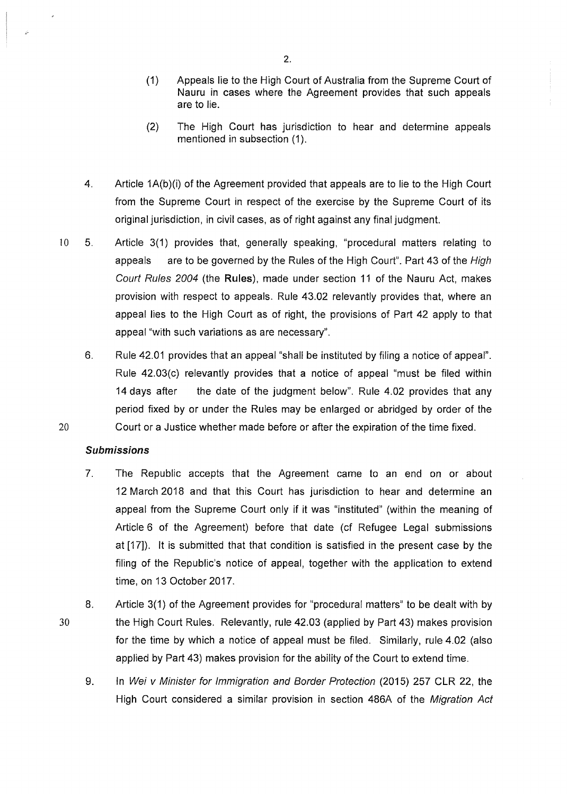- (1) Appeals lie to the High Court of Australia from the Supreme Court of Nauru in cases where the Agreement provides that such appeals are to lie.
- (2) The High Court has jurisdiction to hear and determine appeals mentioned in subsection (1).
- 4. Article 1A(b)(i) of the Agreement provided that appeals are to lie to the High Court from the Supreme Court in respect of the exercise by the Supreme Court of its original jurisdiction, in civil cases, as of right against any final judgment.
- 10 5. Article 3(1) provides that, generally speaking, "procedural matters relating to appeals are to be governed by the Rules of the High Court". Part 43 of the High Court Rules 2004 (the **Rules),** made under section 11 of the Nauru Act, makes provision with respect to appeals. Rule 43.02 relevantly provides that, where an appeal lies to the High Court as of right, the provisions of Part 42 apply to that appeal "with such variations as are necessary".
- 6. Rule 42.01 provides that an appeal "shall be instituted by filing a notice of appeal". Rule 42.03(c) relevantly provides that a notice of appeal "must be filed within 14 days after the date of the judgment below". Rule 4.02 provides that any period fixed by or under the Rules may be enlarged or abridged by order of the 20 Court or a Justice whether made before or after the expiration of the time fixed.

## **Submissions**

30

- 7. The Republic accepts that the Agreement came to an end on or about 12 March 2018 and that this Court has jurisdiction to hear and determine an appeal from the Supreme Court only if it was "instituted" (within the meaning of Article 6 of the Agreement) before that date (cf Refugee Legal submissions at [17]). lt is submitted that that condition is satisfied in the present case by the filing of the Republic's notice of appeal, together with the application to extend time, on 13 October 2017.
- 8. Article 3(1) of the Agreement provides for "procedural matters" to be dealt with by the High Court Rules. Relevantly, rule 42.03 (applied by Part 43) makes provision for the time by which a notice of appeal must be filed. Similarly, rule 4.02 (also applied by Part 43) makes provision for the ability of the Court to extend time.
	- 9. In Wei v Minister for Immigration and Border Protection (2015) 257 CLR 22, the High Court considered a similar provision in section 486A of the Migration Act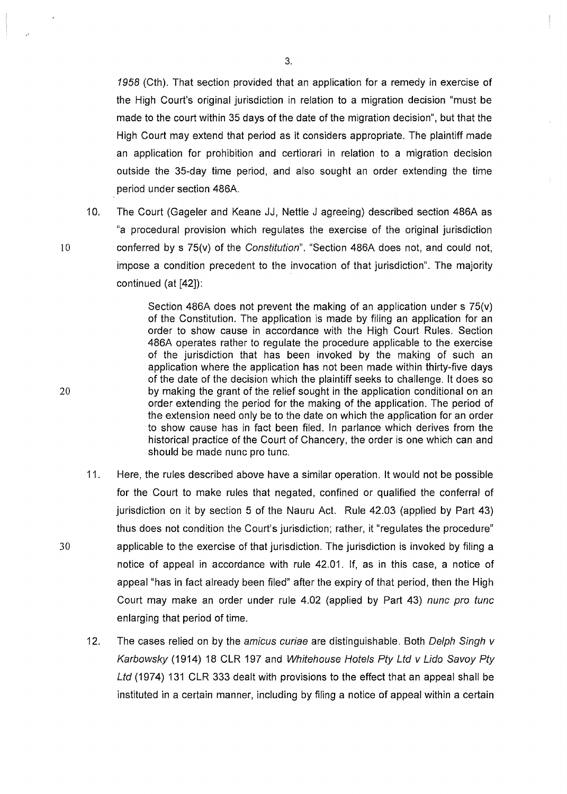1958 (Cth). That section provided that an application for a remedy in exercise of the High Court's original jurisdiction in relation to a migration decision "must be made to the court within 35 days of the date of the migration decision", but that the High Court may extend that period as it considers appropriate. The plaintiff made an application for prohibition and certiorari in relation to a migration decision outside the 35-day time period, and also sought an order extending the time period under section 486A.

10. The Court (Gageler and Keane JJ, Nettle J agreeing) described section 486A as "a procedural provision which regulates the exercise of the original jurisdiction 10 conferred by s 75(v) of the Constitution". "Section 486A does not, and could not, impose a condition precedent to the invocation of that jurisdiction". The majority continued (at [42]):

Section 486A does not prevent the making of an application under s 75(v) of the Constitution. The application is made by filing an application for an order to show cause in accordance with the High Court Rules. Section 486A operates rather to regulate the procedure applicable to the exercise of the jurisdiction that has been invoked by the making of such an application where the application has not been made within thirty-five days of the date of the decision which the plaintiff seeks to challenge. lt does so 20 by making the grant of the relief sought in the application conditional on an order extending the period for the making of the application. The period of the extension need only be to the date on which the application for an order to show cause has in fact been filed. In parlance which derives from the historical practice of the Court of Chancery, the order is one which can and should be made nunc pro tunc.

- 11. Here, the rules described above have a similar operation. lt would not be possible for the Court to make rules that negated, confined or qualified the conferral of jurisdiction on it by section 5 of the Nauru Act. Rule 42.03 (applied by Part 43) thus does not condition the Court's jurisdiction; rather, it "regulates the procedure" 30 applicable to the exercise of that jurisdiction. The jurisdiction is invoked by filing a notice of appeal in accordance with rule 42.01. If, as in this case, a notice of appeal "has in fact already been filed" after the expiry of that period, then the High Court may make an order under rule 4.02 (applied by Part 43) nunc pro tunc enlarging that period of time.
	- 12. The cases relied on by the amicus curiae are distinguishable. Both Delph Singh  $v$ Karbowsky (1914) 18 CLR 197 and Whitehouse Hotels Pty Ltd v Lido Savoy Pty Ltd (1974) 131 CLR 333 dealt with provisions to the effect that an appeal shall be instituted in a certain manner, including by filing a notice of appeal within a certain

3.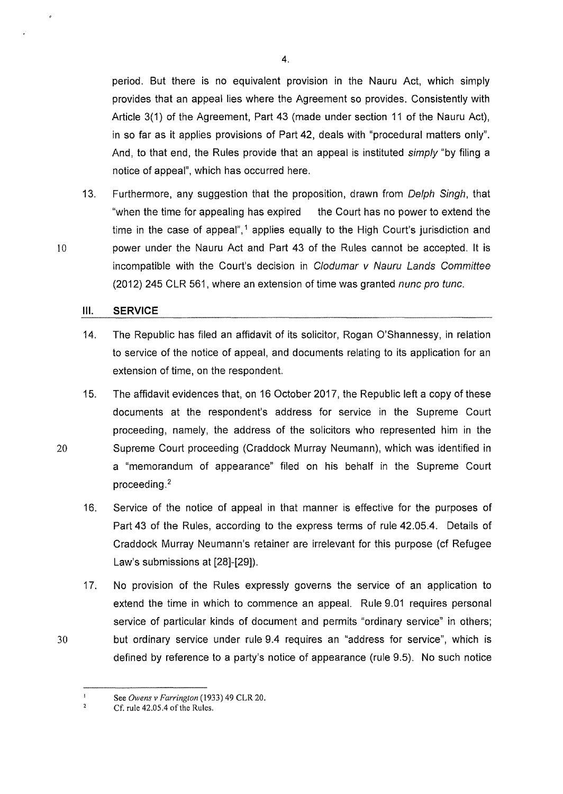period. But there is no equivalent provision in the Nauru Act, which simply provides that an appeal lies where the Agreement so provides. Consistently with Article 3(1) of the Agreement, Part 43 (made under section 11 of the Nauru Act), in so far as it applies provisions of Part 42, deals with "procedural matters only". And, to that end, the Rules provide that an appeal is instituted *simply* "by filing a notice of appeal", which has occurred here.

13. Furthermore, any suggestion that the proposition, drawn from Delph Singh, that "when the time for appealing has expired the Court has no power to extend the time in the case of appeal",<sup>1</sup> applies equally to the High Court's jurisdiction and 10 power under the Nauru Act and Part 43 of the Rules cannot be accepted. lt is incompatible with the Court's decision in C/odumar v Nauru Lands Committee (2012) 245 CLR 561, where an extension of time was granted nunc pro tunc.

#### **Ill. SERVICE**

14. The Republic has filed an affidavit of its solicitor, Rogan O'Shannessy, in relation to service of the notice of appeal, and documents relating to its application for an extension of time, on the respondent.

15. The affidavit evidences that, on 16 October 2017, the Republic left a copy of these documents at the respondent's address for service in the Supreme Court proceeding, namely, the address of the solicitors who represented him in the 20 Supreme Court proceeding (Craddock Murray Neumann), which was identified in a "memorandum of appearance" filed on his behalf in the Supreme Court proceeding. <sup>2</sup>

- 16. Service of the notice of appeal in that manner is effective for the purposes of Part 43 of the Rules, according to the express terms of rule 42.05.4. Details of Craddock Murray Neumann's retainer are irrelevant for this purpose (cf Refugee Law's submissions at [28]-[29]).
- 17. No provision of the Rules expressly governs the service of an application to extend the time in which to commence an appeal. Rule 9.01 requires personal service of particular kinds of document and permits "ordinary service" in others; 30 but ordinary service under rule 9.4 requires an "address for service", which is defined by reference to a party's notice of appearance (rule 9.5). No such notice

4.

See *Owens v Farrington* (1933) 49 CLR 20.  $\mathbf{I}$  $\overline{2}$ 

Cf. rule 42.05.4 of the Rules.